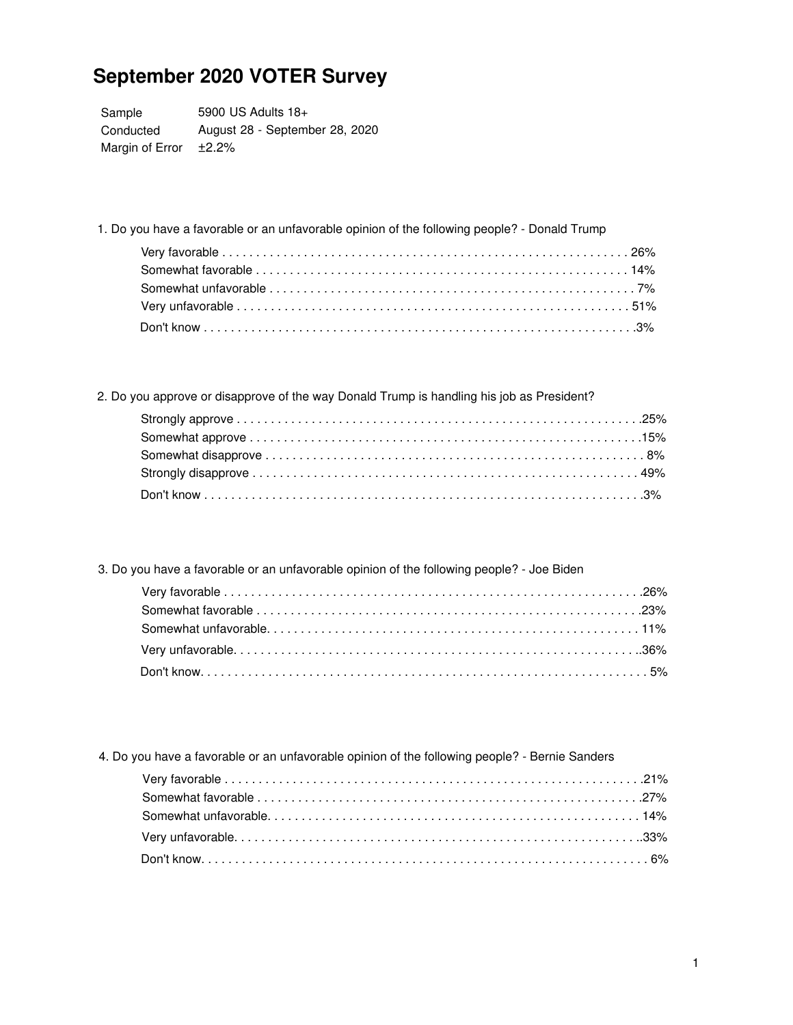Sample Conducted 5900 US Adults 18+ August 28 - September 28, 2020 Margin of Error  $±2.2%$ 

1. Do you have a favorable or an unfavorable opinion of the following people? - Donald Trump

2. Do you approve or disapprove of the way Donald Trump is handling his job as President?

3. Do you have a favorable or an unfavorable opinion of the following people? - Joe Biden

4. Do you have a favorable or an unfavorable opinion of the following people? - Bernie Sanders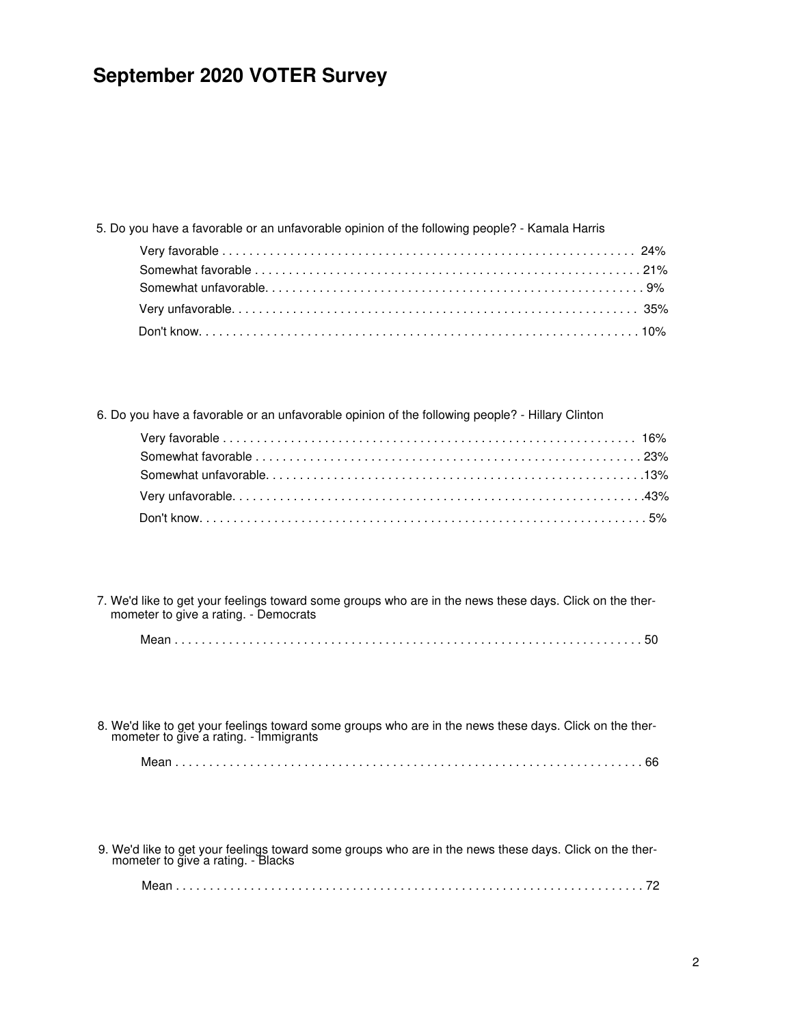| 5. Do you have a favorable or an unfavorable opinion of the following people? - Kamala Harris |  |
|-----------------------------------------------------------------------------------------------|--|
|                                                                                               |  |
|                                                                                               |  |
|                                                                                               |  |
|                                                                                               |  |
|                                                                                               |  |

6. Do you have a favorable or an unfavorable opinion of the following people? - Hillary Clinton

7. We'd like to get your feelings toward some groups who are in the news these days. Click on the ther mometer to give a rating. - Democrats

|--|--|--|

8. We'd like to get your feelings toward some groups who are in the news these days. Click on the ther mometer to give a rating. - Immigrants Mean . . . . . . . . . . . . . . . . . . . . . . . . . . . . . . . . . . . . . . . . . . . . . . . . . . . . . . . . . . . . . . . . . . . . . 66

9. We'd like to get your feelings toward some groups who are in the news these days. Click on the ther mometer to give a rating. - Blacks

|--|--|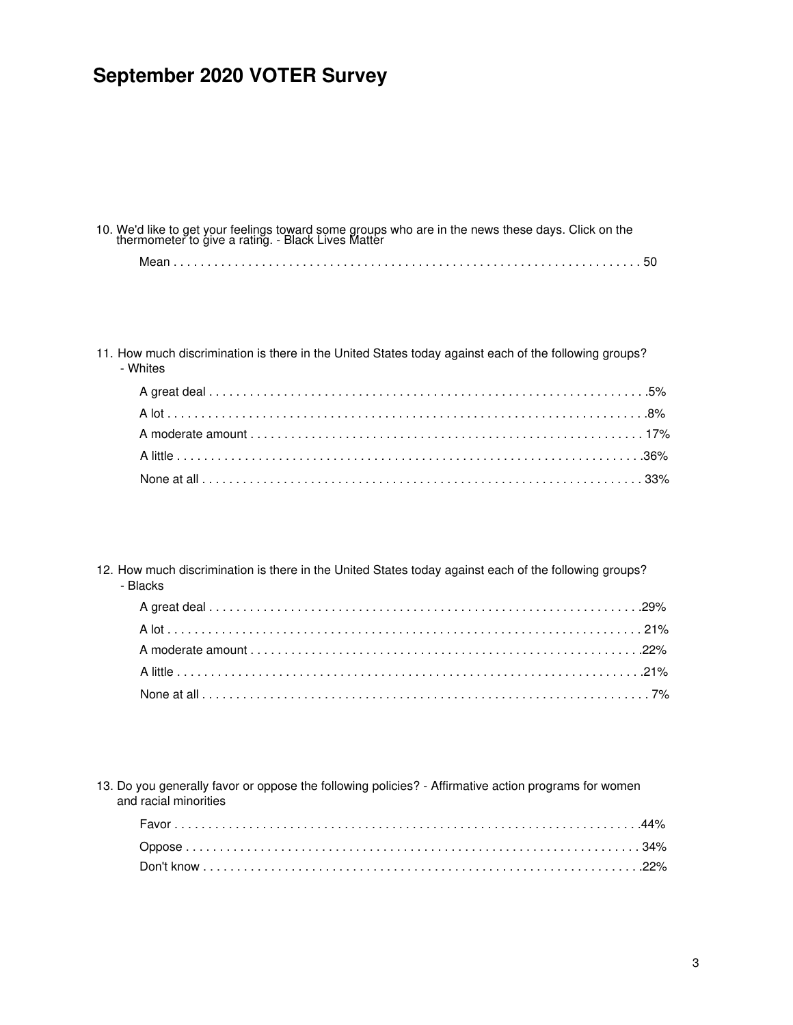| 10. We'd like to get your feelings toward some groups who are in the news these days. Click on the thermometer to give a rating. - Black Lives Matter |  |
|-------------------------------------------------------------------------------------------------------------------------------------------------------|--|
|                                                                                                                                                       |  |

11. How much discrimination is there in the United States today against each of the following groups? - Whites

12. How much discrimination is there in the United States today against each of the following groups? - Blacks

13. Do you generally favor or oppose the following policies? - Affirmative action programs for women and racial minorities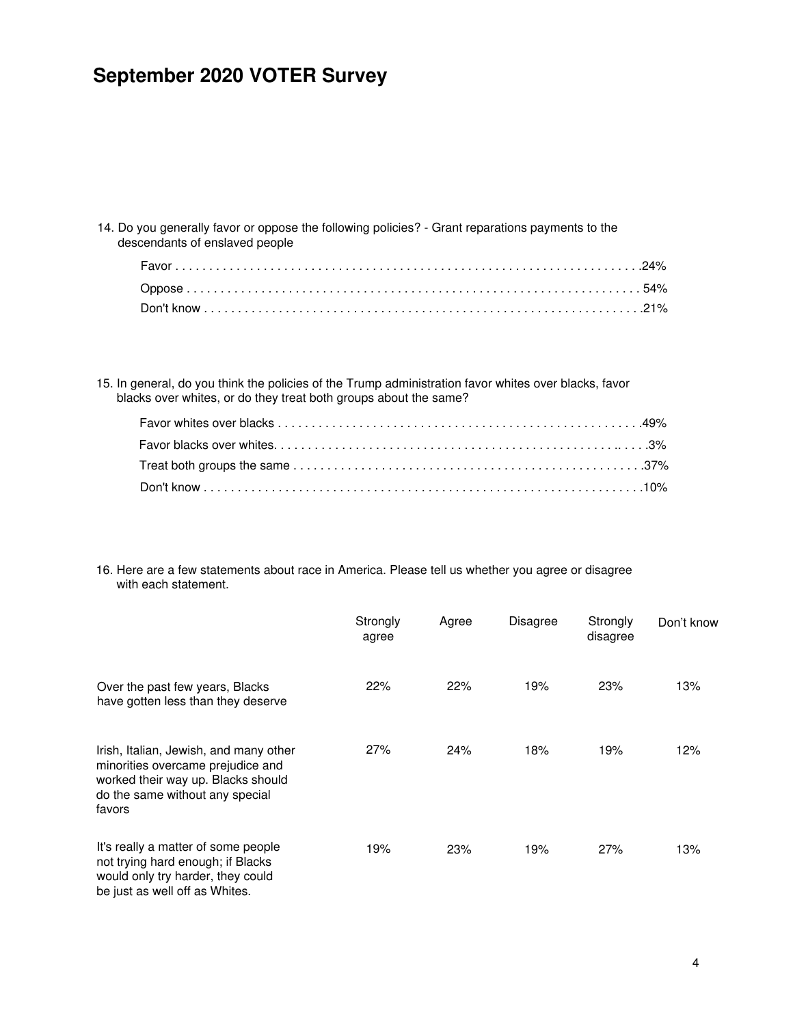14. Do you generally favor or oppose the following policies? - Grant reparations payments to the descendants of enslaved people

15. In general, do you think the policies of the Trump administration favor whites over blacks, favor blacks over whites, or do they treat both groups about the same?

16. Here are a few statements about race in America. Please tell us whether you agree or disagree with each statement.

|                                                                                                                                                                | Strongly<br>agree | Agree | <b>Disagree</b> | Strongly<br>disagree | Don't know |
|----------------------------------------------------------------------------------------------------------------------------------------------------------------|-------------------|-------|-----------------|----------------------|------------|
| Over the past few years, Blacks<br>have gotten less than they deserve                                                                                          | 22%               | 22%   | 19%             | 23%                  | 13%        |
| Irish, Italian, Jewish, and many other<br>minorities overcame prejudice and<br>worked their way up. Blacks should<br>do the same without any special<br>favors | 27%               | 24%   | 18%             | 19%                  | 12%        |
| It's really a matter of some people<br>not trying hard enough; if Blacks<br>would only try harder, they could<br>be just as well off as Whites.                | 19%               | 23%   | 19%             | 27%                  | 13%        |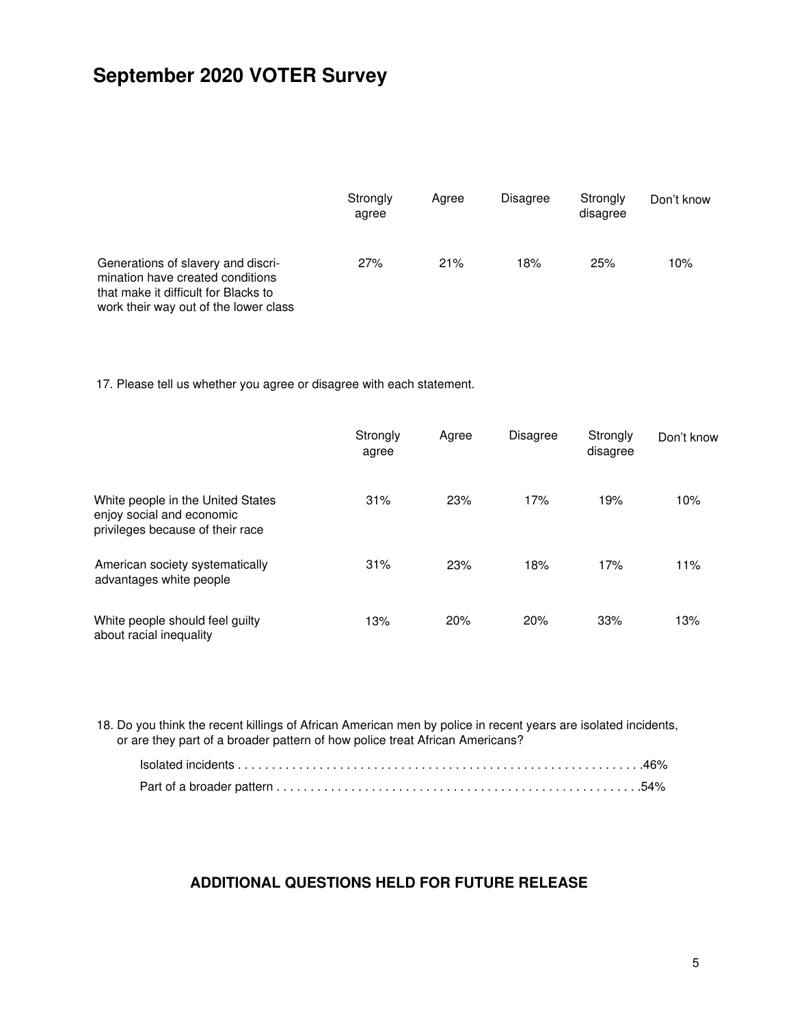|                                                                                                                                                         | Strongly<br>agree | Aaree | <b>Disagree</b> | Strongly<br>disagree | Don't know |  |
|---------------------------------------------------------------------------------------------------------------------------------------------------------|-------------------|-------|-----------------|----------------------|------------|--|
| Generations of slavery and discri-<br>mination have created conditions<br>that make it difficult for Blacks to<br>work their way out of the lower class | 27%               | 21%   | 18%             | 25%                  | 10%        |  |

17. Please tell us whether you agree or disagree with each statement.

|                                                                                                    | Strongly<br>agree | Agree | Disagree | Strongly<br>disagree | Don't know |
|----------------------------------------------------------------------------------------------------|-------------------|-------|----------|----------------------|------------|
| White people in the United States<br>enjoy social and economic<br>privileges because of their race | 31%               | 23%   | 17%      | 19%                  | 10%        |
| American society systematically<br>advantages white people                                         | 31%               | 23%   | 18%      | 17%                  | 11%        |
| White people should feel guilty<br>about racial inequality                                         | 13%               | 20%   | 20%      | 33%                  | 13%        |

18. Do you think the recent killings of African American men by police in recent years are isolated incidents, or are they part of a broader pattern of how police treat African Americans?

### ADDITIONAL QUESTIONS HELD FOR FUTURE RELEASE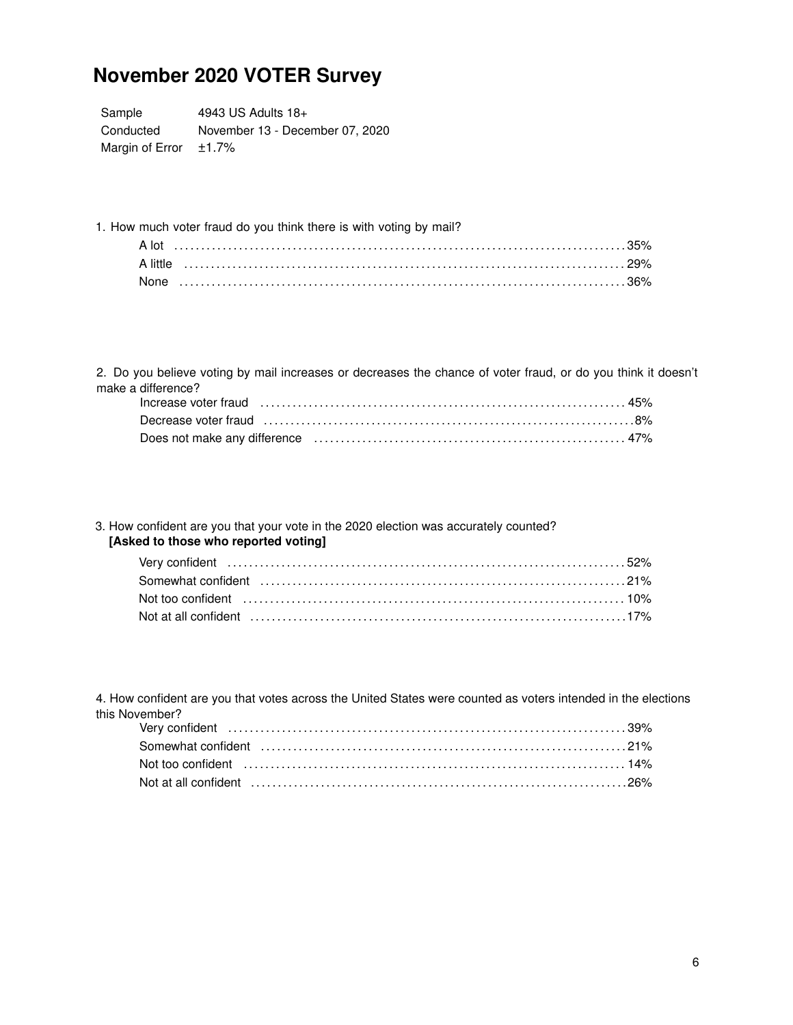Sample 4943 US Adults 18+ Conducted November 13 - December 07, 2020 Margin of Error  $±1.7%$ 

1. How much voter fraud do you think there is with voting by mail?

| A little |  |
|----------|--|
| None     |  |

2. Do you believe voting by mail increases or decreases the chance of voter fraud, or do you think it doesn't make a difference?

### 3. How confident are you that your vote in the 2020 election was accurately counted? [Asked to those who reported voting]

| Not too confident (and according to the control of the control of the confident (and the control of the control of the control of the control of the control of the control of the control of the control of the control of th |  |
|--------------------------------------------------------------------------------------------------------------------------------------------------------------------------------------------------------------------------------|--|
| Not at all confident (a) continuum control of the control of the control of the control of the control of the control of the control of the control of the control of the control of the control of the control of the control |  |

4. How confident are you that votes across the United States were counted as voters intended in the elections this November?

| Not too confident (and according control of the set of the set of the set of the set of the set of the set of the set of the set of the set of the set of the set of the set of the set of the set of the set of the set of th |  |
|--------------------------------------------------------------------------------------------------------------------------------------------------------------------------------------------------------------------------------|--|
| Not at all confident (all continued according to the control of the continued at all confident (all continued $26\%$ )                                                                                                         |  |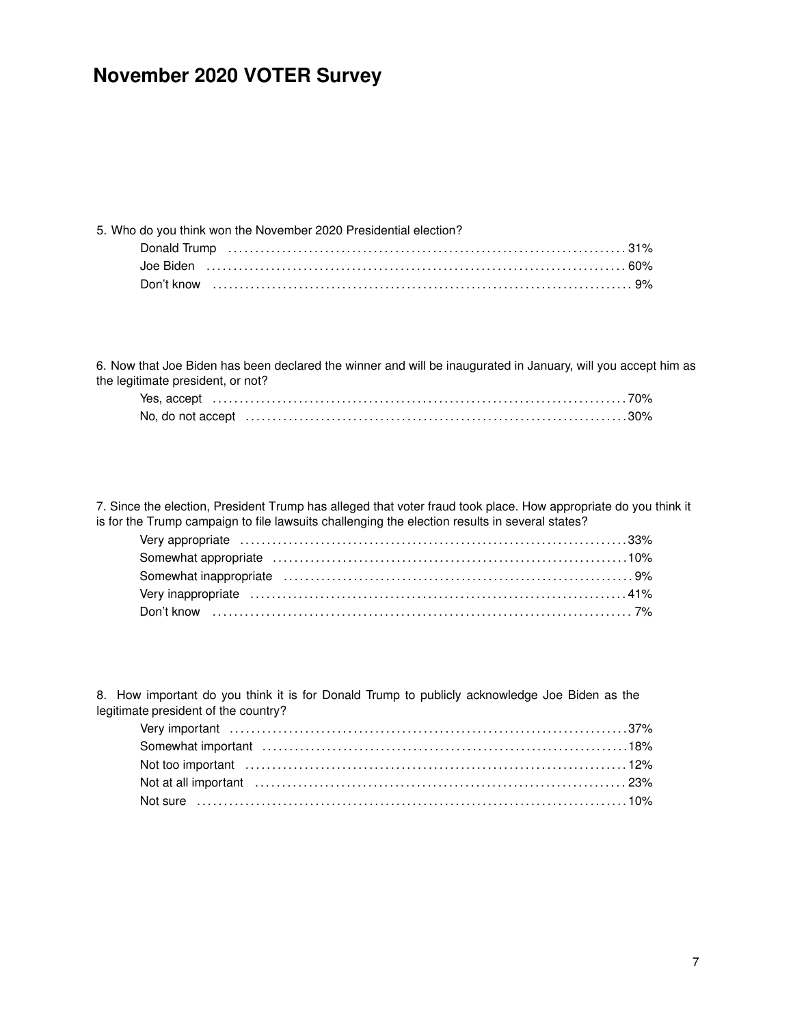| 5. Who do you think won the November 2020 Presidential election? |  |
|------------------------------------------------------------------|--|
|                                                                  |  |
|                                                                  |  |
|                                                                  |  |

6. Now that Joe Biden has been declared the winner and will be inaugurated in January, will you accept him as the legitimate president, or not?

7. Since the election, President Trump has alleged that voter fraud took place. How appropriate do you think it is for the Trump campaign to file lawsuits challenging the election results in several states?

8. How important do you think it is for Donald Trump to publicly acknowledge Joe Biden as the legitimate president of the country?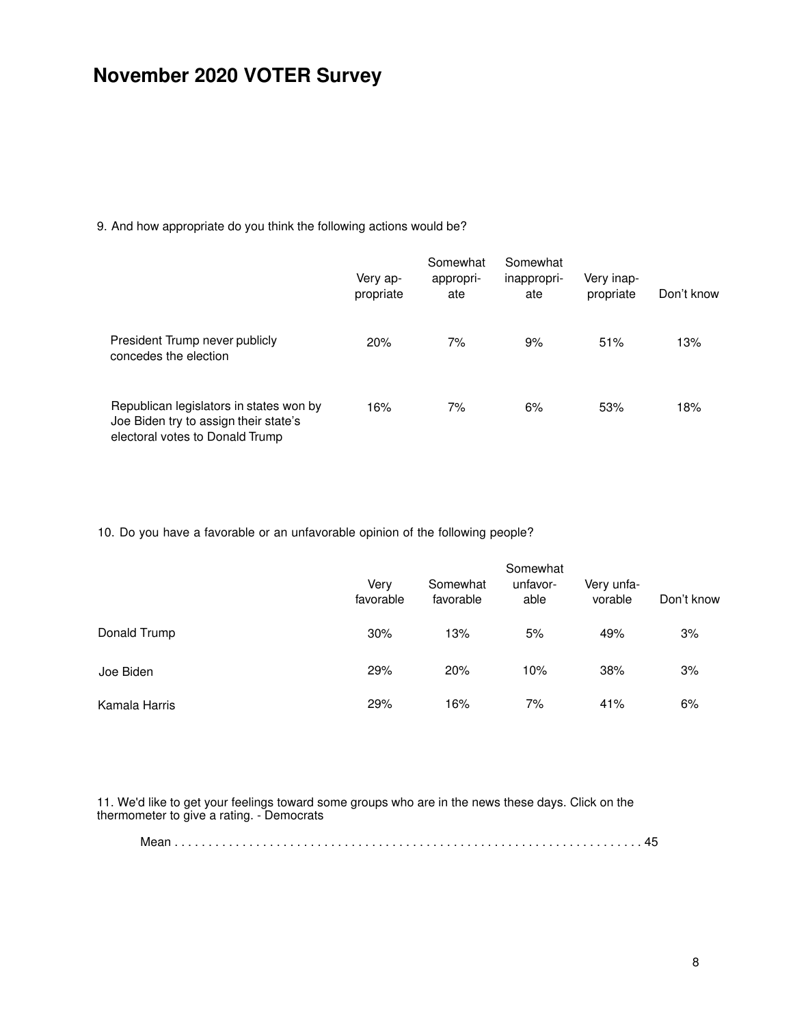9. And how appropriate do you think the following actions would be?

|                                                                                                                     | Very ap-<br>propriate | Somewhat<br>appropri-<br>ate | Somewhat<br>inappropri-<br>ate | Very inap-<br>propriate | Don't know |
|---------------------------------------------------------------------------------------------------------------------|-----------------------|------------------------------|--------------------------------|-------------------------|------------|
| President Trump never publicly<br>concedes the election                                                             | 20%                   | 7%                           | 9%                             | 51%                     | 13%        |
| Republican legislators in states won by<br>Joe Biden try to assign their state's<br>electoral votes to Donald Trump | 16%                   | 7%                           | 6%                             | 53%                     | 18%        |

10. Do you have a favorable or an unfavorable opinion of the following people?

|               | Very<br>favorable | Somewhat<br>favorable | Somewhat<br>unfavor-<br>able | Very unfa-<br>vorable | Don't know |
|---------------|-------------------|-----------------------|------------------------------|-----------------------|------------|
| Donald Trump  | 30%               | 13%                   | 5%                           | 49%                   | 3%         |
| Joe Biden     | 29%               | 20%                   | 10%                          | 38%                   | 3%         |
| Kamala Harris | 29%               | 16%                   | 7%                           | 41%                   | 6%         |

11. We'd like to get your feelings toward some groups who are in the news these days. Click on the thermometer to give a rating. - Democrats

|--|--|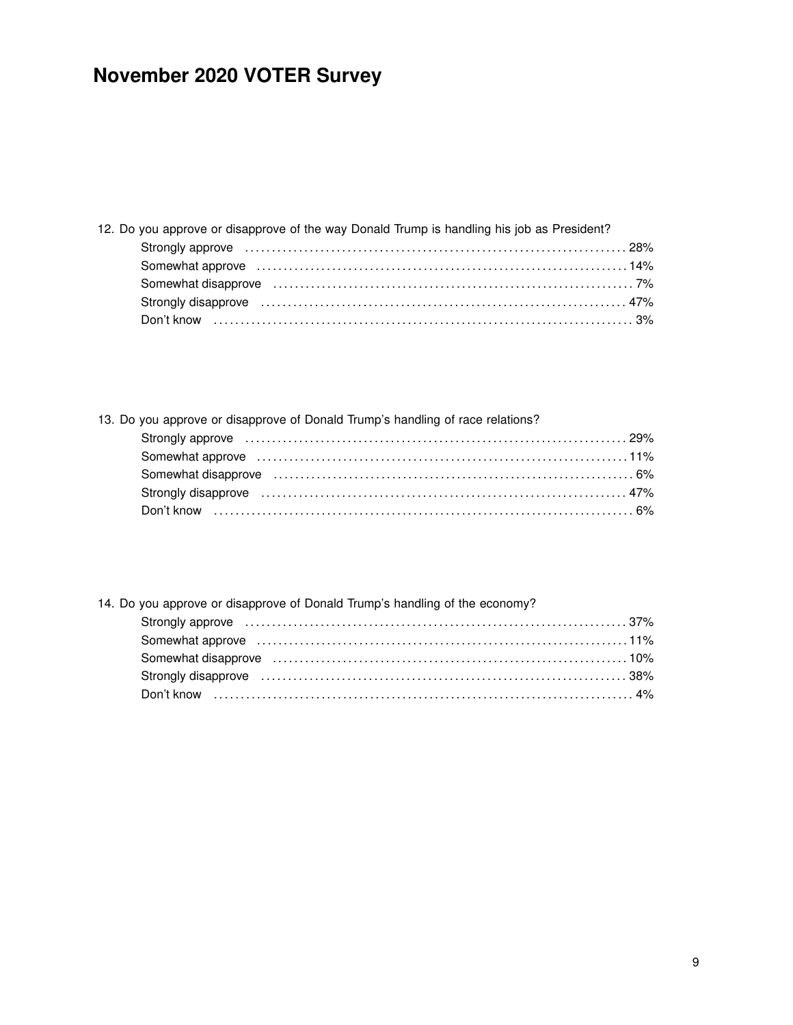| 12. Do you approve or disapprove of the way Donald Trump is handling his job as President?                                                                                                                                     |  |
|--------------------------------------------------------------------------------------------------------------------------------------------------------------------------------------------------------------------------------|--|
| Strongly approve material contracts and the contracts of the contracts of the contracts of the contracts of the contracts of the contracts of the contracts of the contracts of the contracts of the contracts of the contract |  |
|                                                                                                                                                                                                                                |  |
| Somewhat disapprove (exceptional contracts) and the south of the south of the south of the south south south s                                                                                                                 |  |
| Strongly disapprove encourance entertainment and the strongly disapprove entertainment and the strong strong strong strong strong strong strong strong strong strong strong strong strong strong strong strong strong strong s |  |
|                                                                                                                                                                                                                                |  |

### 13. Do you approve or disapprove of Donald Trump's handling of race relations? Strongly approve . . . . . . . . . . . . . . . . . . . . . . . . . . . . . . . . . . . . . . . . . . . . . . . . . . . . . . . . . . . . . . . . . . . . . . . 29% Somewhat approve . . . . . . . . . . . . . . . . . . . . . . . . . . . . . . . . . . . . . . . . . . . . . . . . . . . . . . . . . . . . . . . . . . . . . 11% Somewhat disapprove . . . . . . . . . . . . . . . . . . . . . . . . . . . . . . . . . . . . . . . . . . . . . . . . . . . . . . . . . . . . . . . . . . . 6% Strongly disapprove . . . . . . . . . . . . . . . . . . . . . . . . . . . . . . . . . . . . . . . . . . . . . . . . . . . . . . . . . . . . . . . . . . . . 47% Don't know . . . . . . . . . . . . . . . . . . . . . . . . . . . . . . . . . . . . . . . . . . . . . . . . . . . . . . . . . . . . . . . . . . . . . . . . . . . . . . 6%

### 14. Do you approve or disapprove of Donald Trump's handling of the economy?

| Strongly approve in the continuum control of the control of the control of the control of the control of the c                                                                                                                |  |
|-------------------------------------------------------------------------------------------------------------------------------------------------------------------------------------------------------------------------------|--|
|                                                                                                                                                                                                                               |  |
|                                                                                                                                                                                                                               |  |
| Strongly disapprove encounteration and the strongly disapprove enterity of the strongly disapprove enterity and the strong strongly disapprove enterity of the strong strong strong strong strong strong strong strong strong |  |
|                                                                                                                                                                                                                               |  |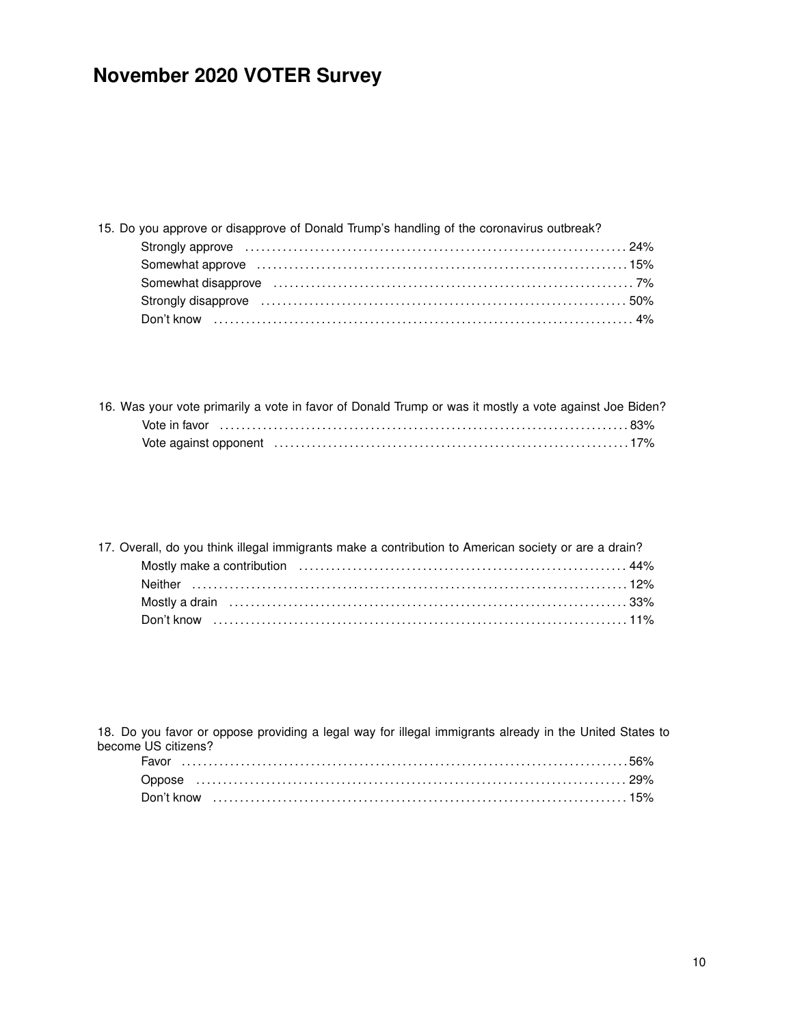| 15. Do you approve or disapprove of Donald Trump's handling of the coronavirus outbreak?                                                                                                                                       |  |
|--------------------------------------------------------------------------------------------------------------------------------------------------------------------------------------------------------------------------------|--|
| Strongly approve material contracts and the contracts of the contracts of the contracts of the contracts of the contracts of the contracts of the contracts of the contracts of the contracts of the contracts of the contract |  |
|                                                                                                                                                                                                                                |  |
|                                                                                                                                                                                                                                |  |
| Strongly disapprove material contracts and the strongly disapprove material contracts and the strongly disapprove material of $50\%$                                                                                           |  |
|                                                                                                                                                                                                                                |  |

| 16. Was your vote primarily a vote in favor of Donald Trump or was it mostly a vote against Joe Biden? |  |  |  |  |
|--------------------------------------------------------------------------------------------------------|--|--|--|--|
|                                                                                                        |  |  |  |  |
|                                                                                                        |  |  |  |  |

| 17. Overall, do you think illegal immigrants make a contribution to American society or are a drain? |  |
|------------------------------------------------------------------------------------------------------|--|
|                                                                                                      |  |
|                                                                                                      |  |
|                                                                                                      |  |
|                                                                                                      |  |

18. Do you favor or oppose providing a legal way for illegal immigrants already in the United States to become US citizens?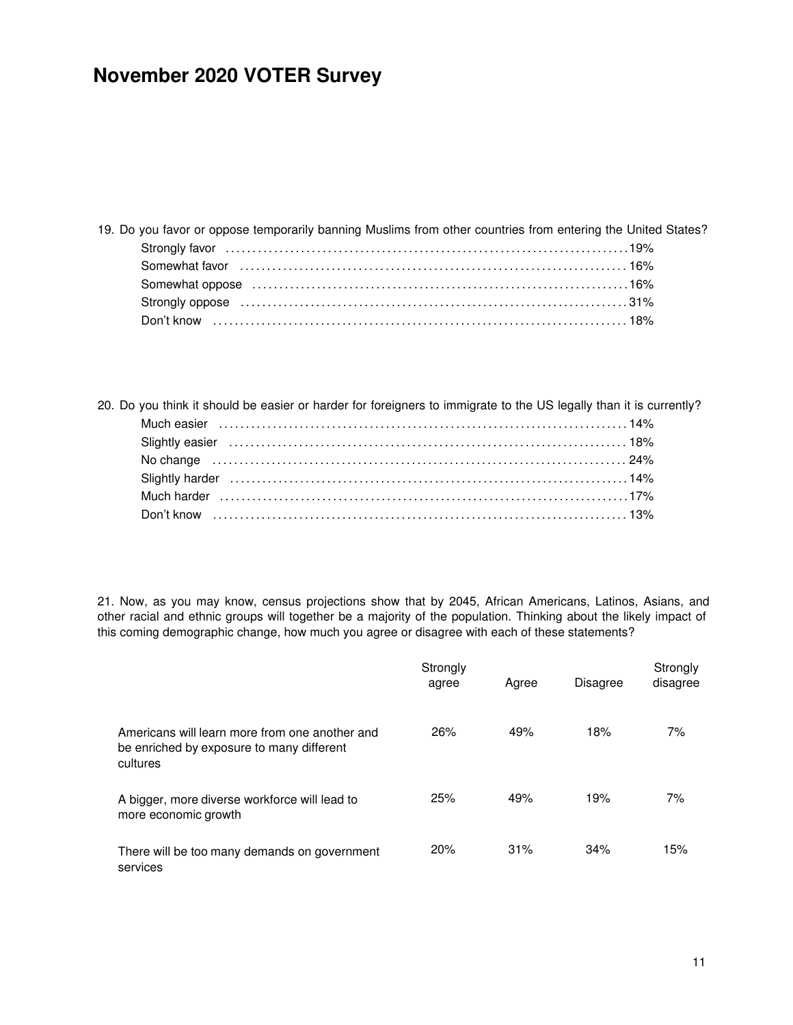| 19. Do you favor or oppose temporarily banning Muslims from other countries from entering the United States? |  |
|--------------------------------------------------------------------------------------------------------------|--|
|                                                                                                              |  |
|                                                                                                              |  |
|                                                                                                              |  |
|                                                                                                              |  |
|                                                                                                              |  |
|                                                                                                              |  |

20. Do you think it should be easier or harder for foreigners to immigrate to the US legally than it is currently?

21. Now, as you may know, census projections show that by 2045, African Americans, Latinos, Asians, and other racial and ethnic groups will together be a majority of the population. Thinking about the likely impact of this coming demographic change, how much you agree or disagree with each of these statements?

|                                                                                                         | Strongly<br>agree | Agree | <b>Disagree</b> | Strongly<br>disagree |
|---------------------------------------------------------------------------------------------------------|-------------------|-------|-----------------|----------------------|
| Americans will learn more from one another and<br>be enriched by exposure to many different<br>cultures | 26%               | 49%   | 18%             | 7%                   |
| A bigger, more diverse workforce will lead to<br>more economic growth                                   | 25%               | 49%   | 19%             | 7%                   |
| There will be too many demands on government<br>services                                                | 20%               | 31%   | 34%             | 15%                  |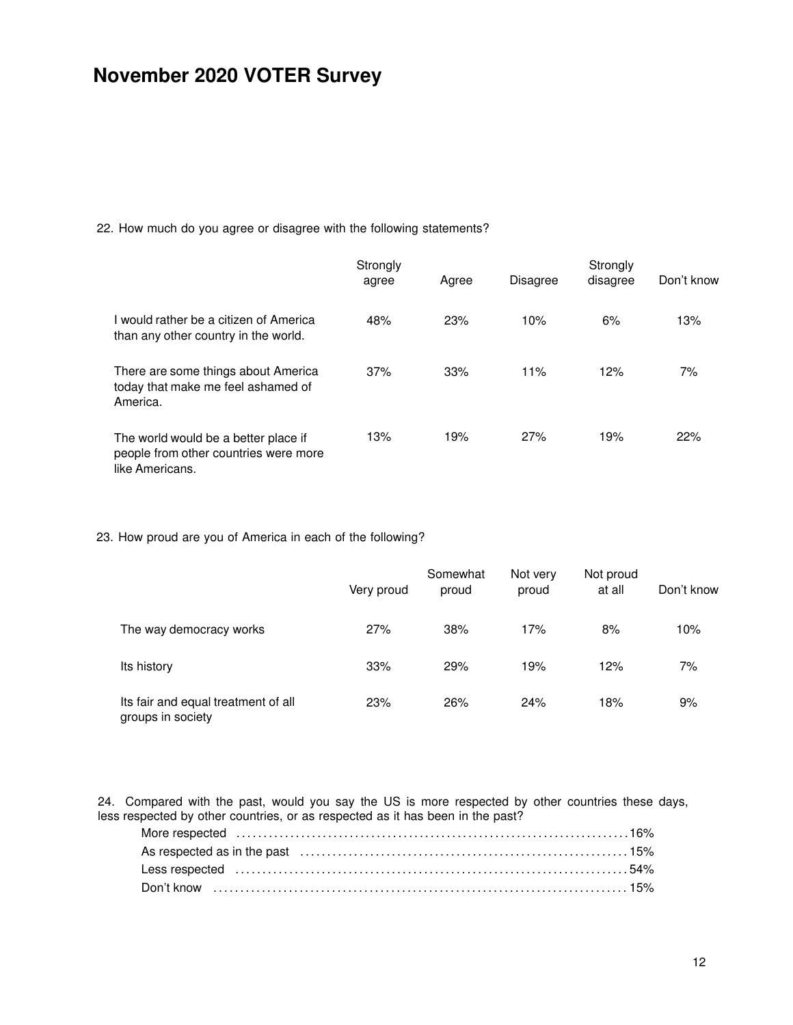22. How much do you agree or disagree with the following statements?

|                                                                                                  | Strongly<br>agree | Agree | <b>Disagree</b> | Strongly<br>disagree | Don't know |
|--------------------------------------------------------------------------------------------------|-------------------|-------|-----------------|----------------------|------------|
| I would rather be a citizen of America<br>than any other country in the world.                   | 48%               | 23%   | 10%             | 6%                   | 13%        |
| There are some things about America<br>today that make me feel ashamed of<br>America.            | 37%               | 33%   | 11%             | 12%                  | 7%         |
| The world would be a better place if<br>people from other countries were more<br>like Americans. | 13%               | 19%   | 27%             | 19%                  | 22%        |

23. How proud are you of America in each of the following?

|                                                          | Very proud | Somewhat<br>proud | Not very<br>proud | Not proud<br>at all | Don't know |
|----------------------------------------------------------|------------|-------------------|-------------------|---------------------|------------|
| The way democracy works                                  | 27%        | 38%               | 17%               | 8%                  | 10%        |
| Its history                                              | 33%        | 29%               | 19%               | 12%                 | 7%         |
| Its fair and equal treatment of all<br>groups in society | 23%        | 26%               | 24%               | 18%                 | 9%         |

24. Compared with the past, would you say the US is more respected by other countries these days, less respected by other countries, or as respected as it has been in the past?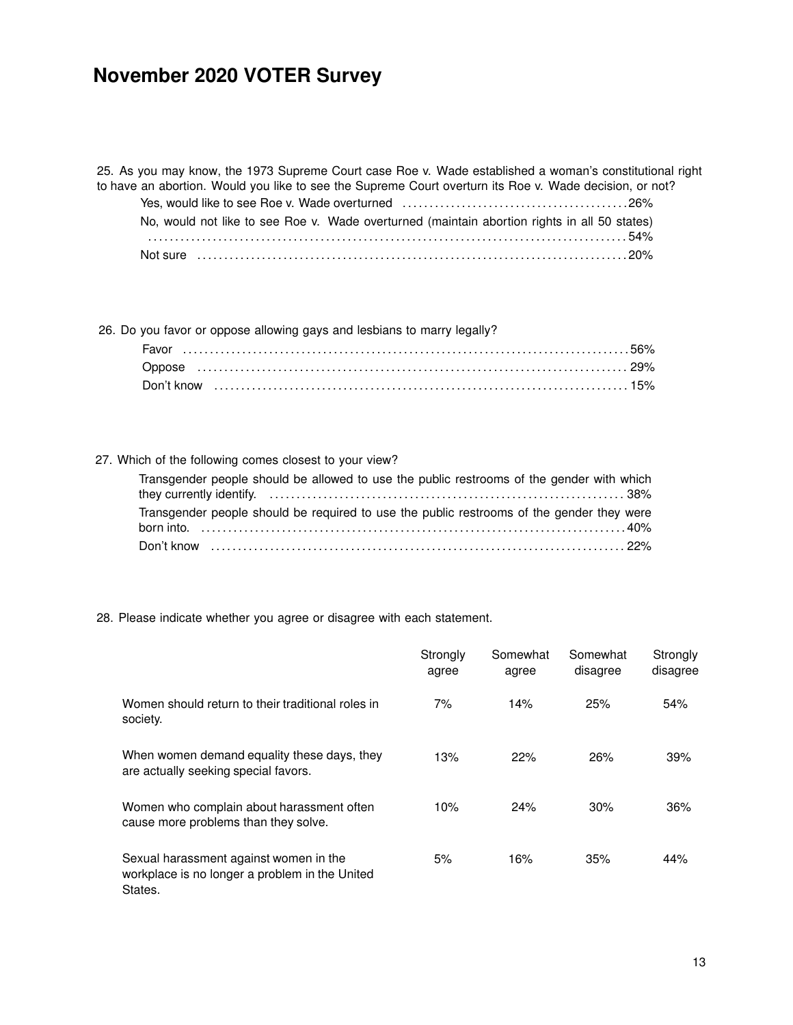25. As you may know, the 1973 Supreme Court case Roe v. Wade established a woman's constitutional right to have an abortion. Would you like to see the Supreme Court overturn its Roe v. Wade decision, or not? Yes, would like to see Roe v. Wade overturned . . . . . . . . . . . . . . . . . . . . . . . . . . . . . . . . . . . . . . . . . . 26% No, would not like to see Roe v. Wade overturned (maintain abortion rights in all 50 states)

| Not sure |  |
|----------|--|

26. Do you favor or oppose allowing gays and lesbians to marry legally?

#### 27. Which of the following comes closest to your view?

| Transgender people should be allowed to use the public restrooms of the gender with which |  |
|-------------------------------------------------------------------------------------------|--|
|                                                                                           |  |
| Transgender people should be required to use the public restrooms of the gender they were |  |
|                                                                                           |  |
|                                                                                           |  |

28. Please indicate whether you agree or disagree with each statement.

|                                                                                                     | Strongly<br>agree | Somewhat<br>agree | Somewhat<br>disagree | Strongly<br>disagree |
|-----------------------------------------------------------------------------------------------------|-------------------|-------------------|----------------------|----------------------|
| Women should return to their traditional roles in<br>society.                                       | 7%                | 14%               | 25%                  | 54%                  |
| When women demand equality these days, they<br>are actually seeking special favors.                 | 13%               | 22%               | 26%                  | 39%                  |
| Women who complain about harassment often<br>cause more problems than they solve.                   | 10%               | 24%               | 30%                  | 36%                  |
| Sexual harassment against women in the<br>workplace is no longer a problem in the United<br>States. | 5%                | 16%               | 35%                  | 44%                  |